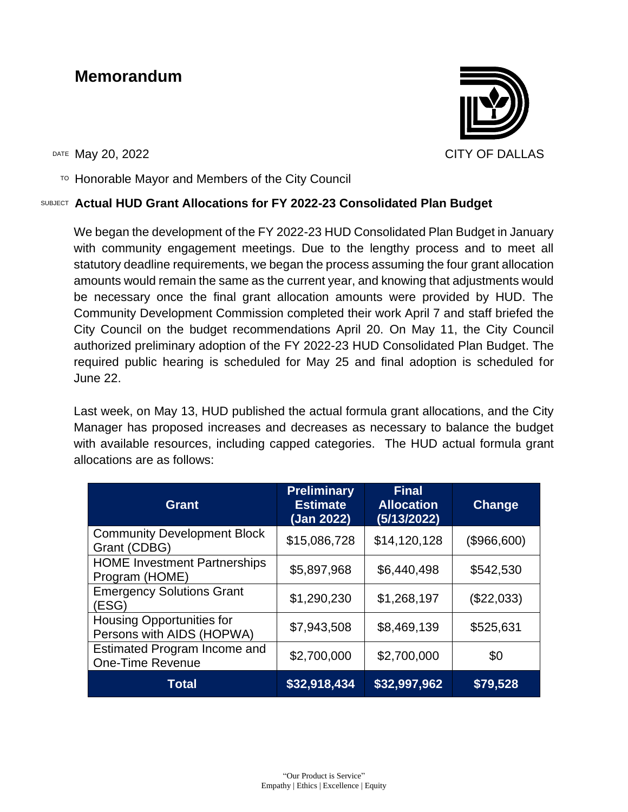### **Memorandum**

DATE May 20, 2022 CITY OF DALLAS

 $T$ <sup>O</sup> Honorable Mayor and Members of the City Council

#### SUBJECT **Actual HUD Grant Allocations for FY 2022-23 Consolidated Plan Budget**

We began the development of the FY 2022-23 HUD Consolidated Plan Budget in January with community engagement meetings. Due to the lengthy process and to meet all statutory deadline requirements, we began the process assuming the four grant allocation amounts would remain the same as the current year, and knowing that adjustments would be necessary once the final grant allocation amounts were provided by HUD. The Community Development Commission completed their work April 7 and staff briefed the City Council on the budget recommendations April 20. On May 11, the City Council authorized preliminary adoption of the FY 2022-23 HUD Consolidated Plan Budget. The required public hearing is scheduled for May 25 and final adoption is scheduled for June 22.

Last week, on May 13, HUD published the actual formula grant allocations, and the City Manager has proposed increases and decreases as necessary to balance the budget with available resources, including capped categories. The HUD actual formula grant allocations are as follows:

| <b>Grant</b>                                                   | <b>Preliminary</b><br><b>Estimate</b><br>(Jan 2022) | <b>Final</b><br><b>Allocation</b><br>(5/13/2022) | <b>Change</b> |
|----------------------------------------------------------------|-----------------------------------------------------|--------------------------------------------------|---------------|
| <b>Community Development Block</b><br>Grant (CDBG)             | \$15,086,728                                        | \$14,120,128                                     | (\$966,600)   |
| <b>HOME Investment Partnerships</b><br>Program (HOME)          | \$5,897,968                                         | \$6,440,498                                      | \$542,530     |
| <b>Emergency Solutions Grant</b><br>(ESG)                      | \$1,290,230                                         | \$1,268,197                                      | (\$22,033)    |
| <b>Housing Opportunities for</b><br>Persons with AIDS (HOPWA)  | \$7,943,508                                         | \$8,469,139                                      | \$525,631     |
| <b>Estimated Program Income and</b><br><b>One-Time Revenue</b> | \$2,700,000                                         | \$2,700,000                                      | \$0           |
| Total                                                          | \$32,918,434                                        | \$32,997,962                                     | \$79,528      |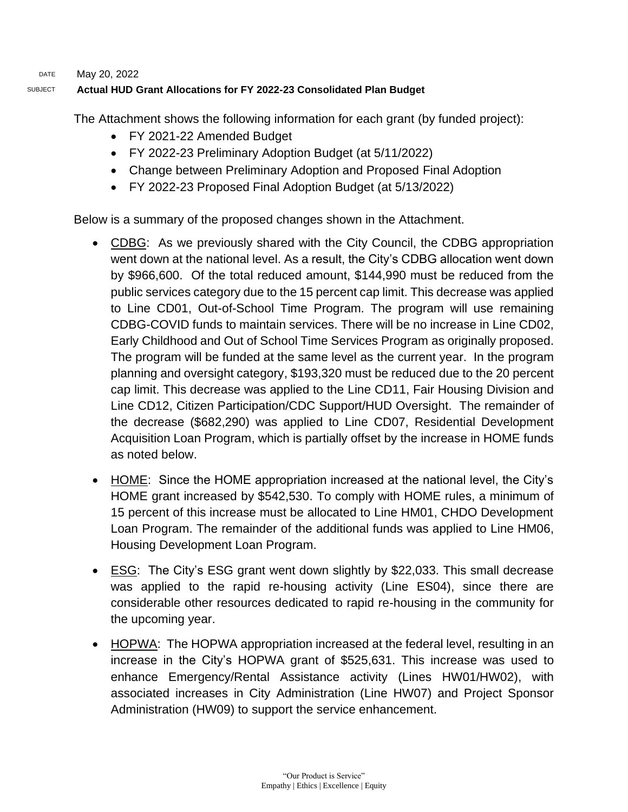DATE May 20, 2022

#### SUBJECT **Actual HUD Grant Allocations for FY 2022-23 Consolidated Plan Budget**

The Attachment shows the following information for each grant (by funded project):

- FY 2021-22 Amended Budget
- FY 2022-23 Preliminary Adoption Budget (at 5/11/2022)
- Change between Preliminary Adoption and Proposed Final Adoption
- FY 2022-23 Proposed Final Adoption Budget (at 5/13/2022)

Below is a summary of the proposed changes shown in the Attachment.

- CDBG: As we previously shared with the City Council, the CDBG appropriation went down at the national level. As a result, the City's CDBG allocation went down by \$966,600. Of the total reduced amount, \$144,990 must be reduced from the public services category due to the 15 percent cap limit. This decrease was applied to Line CD01, Out-of-School Time Program. The program will use remaining CDBG-COVID funds to maintain services. There will be no increase in Line CD02, Early Childhood and Out of School Time Services Program as originally proposed. The program will be funded at the same level as the current year. In the program planning and oversight category, \$193,320 must be reduced due to the 20 percent cap limit. This decrease was applied to the Line CD11, Fair Housing Division and Line CD12, Citizen Participation/CDC Support/HUD Oversight. The remainder of the decrease (\$682,290) was applied to Line CD07, Residential Development Acquisition Loan Program, which is partially offset by the increase in HOME funds as noted below.
- HOME: Since the HOME appropriation increased at the national level, the City's HOME grant increased by \$542,530. To comply with HOME rules, a minimum of 15 percent of this increase must be allocated to Line HM01, CHDO Development Loan Program. The remainder of the additional funds was applied to Line HM06, Housing Development Loan Program.
- ESG: The City's ESG grant went down slightly by \$22,033. This small decrease was applied to the rapid re-housing activity (Line ES04), since there are considerable other resources dedicated to rapid re-housing in the community for the upcoming year.
- HOPWA: The HOPWA appropriation increased at the federal level, resulting in an increase in the City's HOPWA grant of \$525,631. This increase was used to enhance Emergency/Rental Assistance activity (Lines HW01/HW02), with associated increases in City Administration (Line HW07) and Project Sponsor Administration (HW09) to support the service enhancement.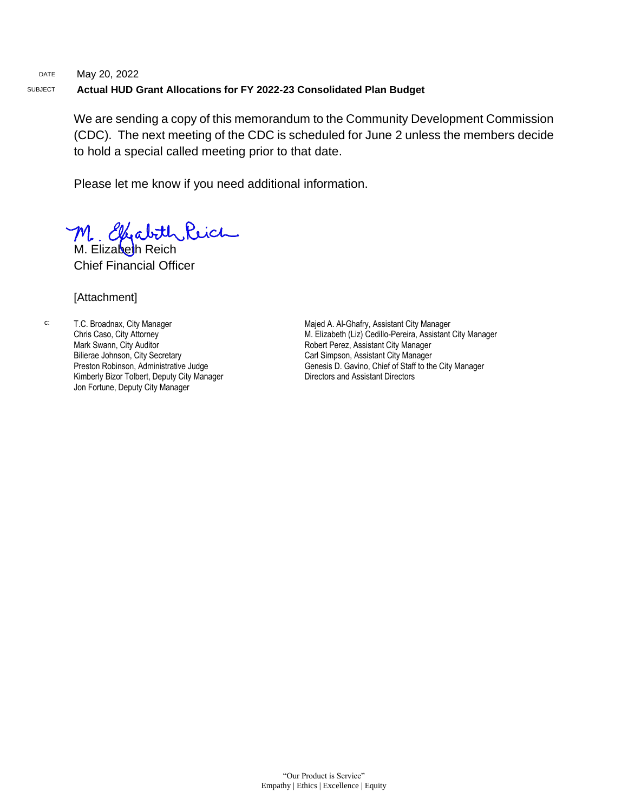#### DATE May 20, 2022 SUBJECT **Actual HUD Grant Allocations for FY 2022-23 Consolidated Plan Budget**

We are sending a copy of this memorandum to the Community Development Commission (CDC). The next meeting of the CDC is scheduled for June 2 unless the members decide to hold a special called meeting prior to that date.

Please let me know if you need additional information.

M. Elizabeth Reich

Chief Financial Officer

#### [Attachment]

c: T.C. Broadnax, City Manager Chris Caso, City Attorney Mark Swann, City Auditor Bilierae Johnson, City Secretary Preston Robinson, Administrative Judge Kimberly Bizor Tolbert, Deputy City Manager Jon Fortune, Deputy City Manager

Majed A. Al-Ghafry, Assistant City Manager M. Elizabeth (Liz) Cedillo-Pereira, Assistant City Manager Robert Perez, Assistant City Manager Carl Simpson, Assistant City Manager Genesis D. Gavino, Chief of Staff to the City Manager Directors and Assistant Directors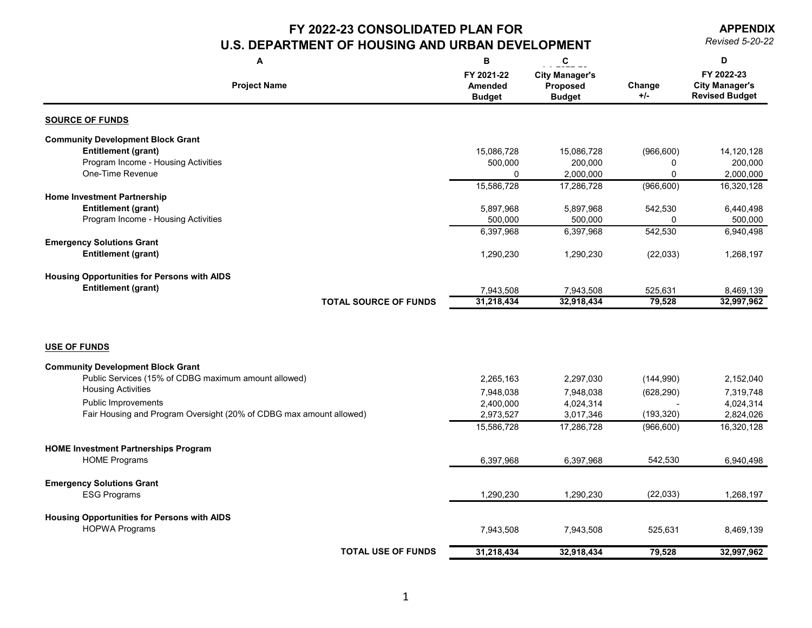**APPENDIX**

| A                                                                   | B                                             | $\mathbf c$                                               |                 | D                                                            |
|---------------------------------------------------------------------|-----------------------------------------------|-----------------------------------------------------------|-----------------|--------------------------------------------------------------|
| <b>Project Name</b>                                                 | FY 2021-22<br><b>Amended</b><br><b>Budget</b> | <b>City Manager's</b><br><b>Proposed</b><br><b>Budget</b> | Change<br>$+/-$ | FY 2022-23<br><b>City Manager's</b><br><b>Revised Budget</b> |
| <b>SOURCE OF FUNDS</b>                                              |                                               |                                                           |                 |                                                              |
| <b>Community Development Block Grant</b>                            |                                               |                                                           |                 |                                                              |
| <b>Entitlement (grant)</b>                                          | 15,086,728                                    | 15,086,728                                                | (966, 600)      | 14,120,128                                                   |
| Program Income - Housing Activities                                 | 500,000                                       | 200,000                                                   | 0               | 200,000                                                      |
| One-Time Revenue                                                    |                                               | 2,000,000                                                 | 0               | 2,000,000                                                    |
|                                                                     | 15,586,728                                    | 17,286,728                                                | (966, 600)      | 16,320,128                                                   |
| <b>Home Investment Partnership</b>                                  |                                               |                                                           |                 |                                                              |
| <b>Entitlement (grant)</b>                                          | 5,897,968                                     | 5,897,968                                                 | 542,530         | 6,440,498                                                    |
| Program Income - Housing Activities                                 | 500,000                                       | 500,000                                                   | 0               | 500,000                                                      |
| <b>Emergency Solutions Grant</b>                                    | 6,397,968                                     | 6,397,968                                                 | 542,530         | 6,940,498                                                    |
| <b>Entitlement (grant)</b>                                          | 1,290,230                                     | 1,290,230                                                 | (22, 033)       | 1,268,197                                                    |
|                                                                     |                                               |                                                           |                 |                                                              |
| <b>Housing Opportunities for Persons with AIDS</b>                  |                                               |                                                           |                 |                                                              |
| <b>Entitlement (grant)</b>                                          | 7,943,508                                     | 7,943,508                                                 | 525,631         | 8,469,139                                                    |
| <b>TOTAL SOURCE OF FUNDS</b>                                        | 31,218,434                                    | 32,918,434                                                | 79,528          | 32,997,962                                                   |
| <b>USE OF FUNDS</b>                                                 |                                               |                                                           |                 |                                                              |
|                                                                     |                                               |                                                           |                 |                                                              |
| <b>Community Development Block Grant</b>                            |                                               |                                                           |                 |                                                              |
| Public Services (15% of CDBG maximum amount allowed)                | 2,265,163                                     | 2,297,030                                                 | (144,990)       | 2,152,040                                                    |
| <b>Housing Activities</b>                                           | 7,948,038                                     | 7,948,038                                                 | (628, 290)      | 7,319,748                                                    |
| Public Improvements                                                 | 2,400,000                                     | 4,024,314                                                 |                 | 4,024,314                                                    |
| Fair Housing and Program Oversight (20% of CDBG max amount allowed) | 2,973,527                                     | 3,017,346                                                 | (193, 320)      | 2,824,026                                                    |
|                                                                     | 15,586,728                                    | 17,286,728                                                | (966, 600)      | 16,320,128                                                   |
| <b>HOME Investment Partnerships Program</b>                         |                                               |                                                           |                 |                                                              |
| <b>HOME Programs</b>                                                | 6,397,968                                     | 6,397,968                                                 | 542,530         | 6,940,498                                                    |
|                                                                     |                                               |                                                           |                 |                                                              |
| <b>Emergency Solutions Grant</b>                                    |                                               |                                                           |                 |                                                              |
| <b>ESG Programs</b>                                                 | 1,290,230                                     | 1,290,230                                                 | (22, 033)       | 1,268,197                                                    |
|                                                                     |                                               |                                                           |                 |                                                              |
| <b>Housing Opportunities for Persons with AIDS</b>                  |                                               |                                                           |                 |                                                              |
| <b>HOPWA Programs</b>                                               | 7,943,508                                     | 7,943,508                                                 | 525,631         | 8,469,139                                                    |
| <b>TOTAL USE OF FUNDS</b>                                           | 31,218,434                                    | 32,918,434                                                | 79,528          | 32,997,962                                                   |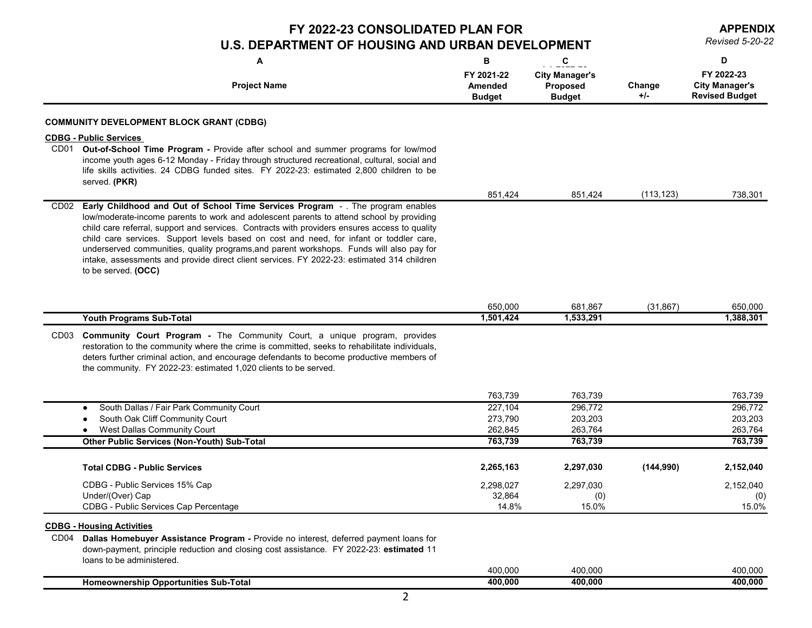**APPENDIX**

|                  | A<br><b>Project Name</b>                                                                                                                                                                                                                                                                                                                                                                                                                                                                                                                                                                 | B<br>FY 2021-22<br><b>Amended</b> | $\mathbf c$<br><b>City Manager's</b><br><b>Proposed</b> | Change     | D<br>FY 2022-23<br><b>City Manager's</b> |
|------------------|------------------------------------------------------------------------------------------------------------------------------------------------------------------------------------------------------------------------------------------------------------------------------------------------------------------------------------------------------------------------------------------------------------------------------------------------------------------------------------------------------------------------------------------------------------------------------------------|-----------------------------------|---------------------------------------------------------|------------|------------------------------------------|
|                  |                                                                                                                                                                                                                                                                                                                                                                                                                                                                                                                                                                                          | <b>Budget</b>                     | <b>Budget</b>                                           | $+/-$      | <b>Revised Budget</b>                    |
|                  | <b>COMMUNITY DEVELOPMENT BLOCK GRANT (CDBG)</b>                                                                                                                                                                                                                                                                                                                                                                                                                                                                                                                                          |                                   |                                                         |            |                                          |
|                  | <b>CDBG - Public Services</b>                                                                                                                                                                                                                                                                                                                                                                                                                                                                                                                                                            |                                   |                                                         |            |                                          |
| CD <sub>01</sub> | Out-of-School Time Program - Provide after school and summer programs for low/mod<br>income youth ages 6-12 Monday - Friday through structured recreational, cultural, social and<br>life skills activities. 24 CDBG funded sites. FY 2022-23: estimated 2,800 children to be<br>served. (PKR)                                                                                                                                                                                                                                                                                           |                                   |                                                         |            |                                          |
|                  |                                                                                                                                                                                                                                                                                                                                                                                                                                                                                                                                                                                          | 851,424                           | 851,424                                                 | (113, 123) | 738,301                                  |
| CD <sub>02</sub> | Early Childhood and Out of School Time Services Program - . The program enables<br>low/moderate-income parents to work and adolescent parents to attend school by providing<br>child care referral, support and services. Contracts with providers ensures access to quality<br>child care services. Support levels based on cost and need, for infant or toddler care,<br>underserved communities, quality programs, and parent workshops. Funds will also pay for<br>intake, assessments and provide direct client services. FY 2022-23: estimated 314 children<br>to be served. (OCC) |                                   |                                                         |            |                                          |
|                  |                                                                                                                                                                                                                                                                                                                                                                                                                                                                                                                                                                                          |                                   |                                                         |            |                                          |
|                  | <b>Youth Programs Sub-Total</b>                                                                                                                                                                                                                                                                                                                                                                                                                                                                                                                                                          | 650,000<br>1,501,424              | 681,867<br>1,533,291                                    | (31, 867)  | 650,000<br>1,388,301                     |
| CD <sub>03</sub> | <b>Community Court Program - The Community Court, a unique program, provides</b><br>restoration to the community where the crime is committed, seeks to rehabilitate individuals,<br>deters further criminal action, and encourage defendants to become productive members of<br>the community. FY 2022-23: estimated 1,020 clients to be served.                                                                                                                                                                                                                                        |                                   |                                                         |            |                                          |
|                  |                                                                                                                                                                                                                                                                                                                                                                                                                                                                                                                                                                                          |                                   |                                                         |            |                                          |
|                  | South Dallas / Fair Park Community Court                                                                                                                                                                                                                                                                                                                                                                                                                                                                                                                                                 | 763,739<br>227,104                | 763,739<br>296,772                                      |            | 763,739<br>296,772                       |
|                  | South Oak Cliff Community Court                                                                                                                                                                                                                                                                                                                                                                                                                                                                                                                                                          | 273,790                           | 203,203                                                 |            | 203,203                                  |
|                  | <b>West Dallas Community Court</b>                                                                                                                                                                                                                                                                                                                                                                                                                                                                                                                                                       | 262,845                           | 263,764                                                 |            | 263,764                                  |
|                  | <b>Other Public Services (Non-Youth) Sub-Total</b>                                                                                                                                                                                                                                                                                                                                                                                                                                                                                                                                       | 763,739                           | 763,739                                                 |            | 763,739                                  |
|                  | <b>Total CDBG - Public Services</b>                                                                                                                                                                                                                                                                                                                                                                                                                                                                                                                                                      | 2,265,163                         | 2,297,030                                               | (144, 990) | 2,152,040                                |
|                  | CDBG - Public Services 15% Cap                                                                                                                                                                                                                                                                                                                                                                                                                                                                                                                                                           | 2,298,027                         | 2,297,030                                               |            | 2,152,040                                |
|                  | Under/(Over) Cap                                                                                                                                                                                                                                                                                                                                                                                                                                                                                                                                                                         | 32,864                            | (0)                                                     |            | (0)                                      |
|                  | <b>CDBG - Public Services Cap Percentage</b>                                                                                                                                                                                                                                                                                                                                                                                                                                                                                                                                             | 14.8%                             | 15.0%                                                   |            | 15.0%                                    |
|                  | <b>CDBG - Housing Activities</b>                                                                                                                                                                                                                                                                                                                                                                                                                                                                                                                                                         |                                   |                                                         |            |                                          |
| CD <sub>04</sub> | Dallas Homebuyer Assistance Program - Provide no interest, deferred payment loans for<br>down-payment, principle reduction and closing cost assistance. FY 2022-23: estimated 11<br>loans to be administered.                                                                                                                                                                                                                                                                                                                                                                            |                                   |                                                         |            |                                          |
|                  |                                                                                                                                                                                                                                                                                                                                                                                                                                                                                                                                                                                          | 400,000                           | 400,000                                                 |            | 400,000                                  |
|                  | <b>Homeownership Opportunities Sub-Total</b>                                                                                                                                                                                                                                                                                                                                                                                                                                                                                                                                             | 400,000                           | 400,000                                                 |            | 400,000                                  |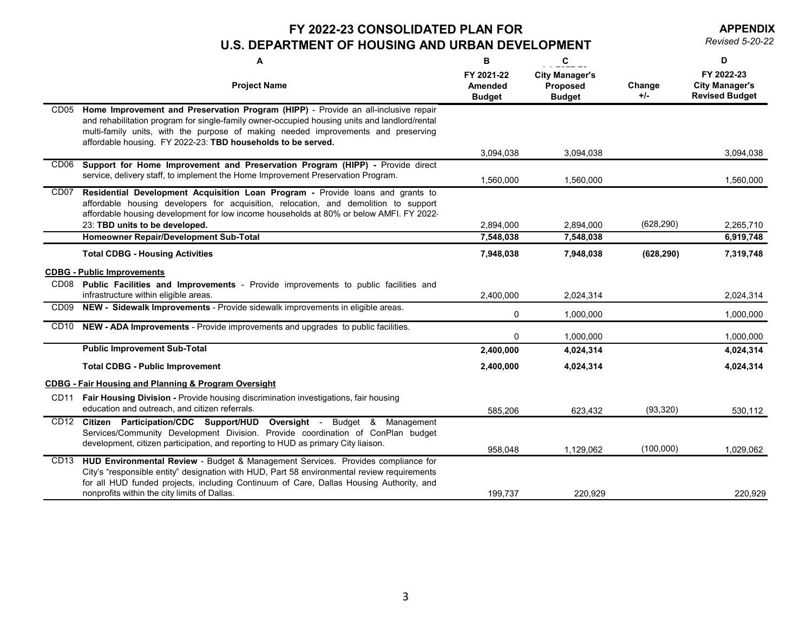**APPENDIX**

|                  | A                                                                                                                                                                                                                                                                                                                                        | B                                             | C                                                         |                 | D                                                            |
|------------------|------------------------------------------------------------------------------------------------------------------------------------------------------------------------------------------------------------------------------------------------------------------------------------------------------------------------------------------|-----------------------------------------------|-----------------------------------------------------------|-----------------|--------------------------------------------------------------|
|                  | <b>Project Name</b>                                                                                                                                                                                                                                                                                                                      | FY 2021-22<br><b>Amended</b><br><b>Budget</b> | <b>City Manager's</b><br><b>Proposed</b><br><b>Budget</b> | Change<br>$+/-$ | FY 2022-23<br><b>City Manager's</b><br><b>Revised Budget</b> |
| CD <sub>05</sub> | Home Improvement and Preservation Program (HIPP) - Provide an all-inclusive repair<br>and rehabilitation program for single-family owner-occupied housing units and landlord/rental<br>multi-family units, with the purpose of making needed improvements and preserving<br>affordable housing. FY 2022-23: TBD households to be served. |                                               |                                                           |                 |                                                              |
|                  |                                                                                                                                                                                                                                                                                                                                          | 3,094,038                                     | 3,094,038                                                 |                 | 3,094,038                                                    |
| CD <sub>06</sub> | Support for Home Improvement and Preservation Program (HIPP) - Provide direct<br>service, delivery staff, to implement the Home Improvement Preservation Program.                                                                                                                                                                        | 1,560,000                                     | 1,560,000                                                 |                 | 1,560,000                                                    |
| CD <sub>07</sub> | Residential Development Acquisition Loan Program - Provide loans and grants to<br>affordable housing developers for acquisition, relocation, and demolition to support<br>affordable housing development for low income households at 80% or below AMFI. FY 2022-<br>23: TBD units to be developed.                                      | 2,894,000                                     | 2,894,000                                                 | (628, 290)      | 2,265,710                                                    |
|                  | Homeowner Repair/Development Sub-Total                                                                                                                                                                                                                                                                                                   | 7,548,038                                     | 7,548,038                                                 |                 | 6,919,748                                                    |
|                  | <b>Total CDBG - Housing Activities</b>                                                                                                                                                                                                                                                                                                   | 7,948,038                                     | 7,948,038                                                 | (628, 290)      | 7,319,748                                                    |
|                  | <b>CDBG - Public Improvements</b>                                                                                                                                                                                                                                                                                                        |                                               |                                                           |                 |                                                              |
| CD <sub>08</sub> | <b>Public Facilities and Improvements -</b> Provide improvements to public facilities and<br>infrastructure within eligible areas.                                                                                                                                                                                                       | 2,400,000                                     | 2,024,314                                                 |                 | 2,024,314                                                    |
| CD <sub>09</sub> | NEW - Sidewalk Improvements - Provide sidewalk improvements in eligible areas.                                                                                                                                                                                                                                                           | $\mathbf 0$                                   | 1,000,000                                                 |                 | 1,000,000                                                    |
| CD10             | NEW - ADA Improvements - Provide improvements and upgrades to public facilities.                                                                                                                                                                                                                                                         | 0                                             | 1,000,000                                                 |                 | 1,000,000                                                    |
|                  | <b>Public Improvement Sub-Total</b>                                                                                                                                                                                                                                                                                                      | 2,400,000                                     | 4,024,314                                                 |                 | 4,024,314                                                    |
|                  | <b>Total CDBG - Public Improvement</b>                                                                                                                                                                                                                                                                                                   | 2,400,000                                     | 4,024,314                                                 |                 | 4,024,314                                                    |
|                  | <b>CDBG - Fair Housing and Planning &amp; Program Oversight</b>                                                                                                                                                                                                                                                                          |                                               |                                                           |                 |                                                              |
| CD11             | <b>Fair Housing Division - Provide housing discrimination investigations, fair housing</b><br>education and outreach, and citizen referrals.                                                                                                                                                                                             | 585,206                                       | 623,432                                                   | (93, 320)       | 530,112                                                      |
| CD <sub>12</sub> | Citizen Participation/CDC Support/HUD<br>Oversight -<br>Budget & Management<br>Services/Community Development Division. Provide coordination of ConPlan budget<br>development, citizen participation, and reporting to HUD as primary City liaison.                                                                                      | 958,048                                       | 1,129,062                                                 | (100,000)       | 1,029,062                                                    |
| CD <sub>13</sub> | HUD Environmental Review - Budget & Management Services. Provides compliance for<br>City's "responsible entity" designation with HUD, Part 58 environmental review requirements<br>for all HUD funded projects, including Continuum of Care, Dallas Housing Authority, and<br>nonprofits within the city limits of Dallas.               | 199,737                                       | 220,929                                                   |                 | 220,929                                                      |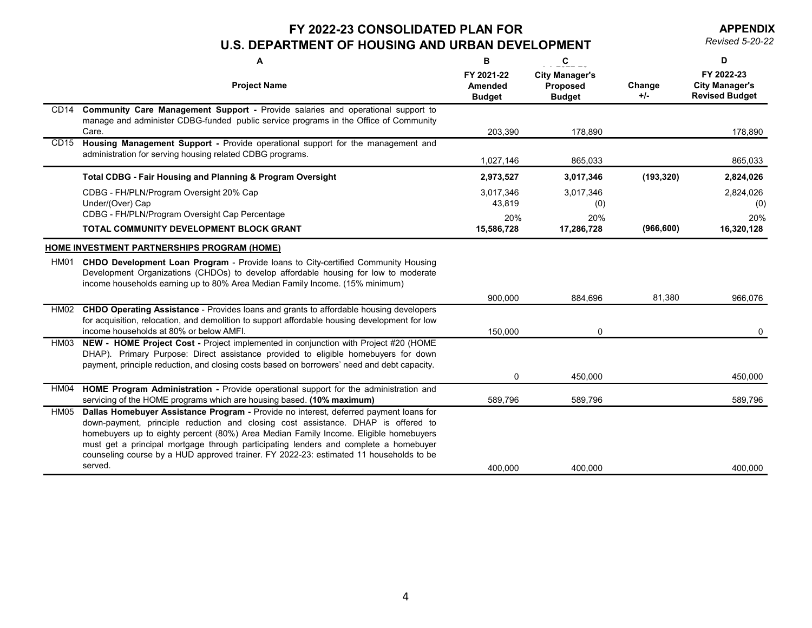**APPENDIX**

|                  | A                                                                                                                                                                                                                                                                                                                                                                                                                                                         | B                                             | $\mathbf c$                                               |                 | D                                                            |
|------------------|-----------------------------------------------------------------------------------------------------------------------------------------------------------------------------------------------------------------------------------------------------------------------------------------------------------------------------------------------------------------------------------------------------------------------------------------------------------|-----------------------------------------------|-----------------------------------------------------------|-----------------|--------------------------------------------------------------|
|                  | <b>Project Name</b>                                                                                                                                                                                                                                                                                                                                                                                                                                       | FY 2021-22<br><b>Amended</b><br><b>Budget</b> | <b>City Manager's</b><br><b>Proposed</b><br><b>Budget</b> | Change<br>$+/-$ | FY 2022-23<br><b>City Manager's</b><br><b>Revised Budget</b> |
|                  | CD14 Community Care Management Support - Provide salaries and operational support to<br>manage and administer CDBG-funded public service programs in the Office of Community<br>Care.                                                                                                                                                                                                                                                                     | 203,390                                       | 178,890                                                   |                 | 178,890                                                      |
| CD <sub>15</sub> | Housing Management Support - Provide operational support for the management and<br>administration for serving housing related CDBG programs.                                                                                                                                                                                                                                                                                                              | 1,027,146                                     | 865,033                                                   |                 | 865,033                                                      |
|                  | <b>Total CDBG - Fair Housing and Planning &amp; Program Oversight</b>                                                                                                                                                                                                                                                                                                                                                                                     | 2,973,527                                     | 3,017,346                                                 | (193, 320)      | 2,824,026                                                    |
|                  | CDBG - FH/PLN/Program Oversight 20% Cap<br>Under/(Over) Cap                                                                                                                                                                                                                                                                                                                                                                                               | 3,017,346<br>43,819                           | 3,017,346<br>(0)                                          |                 | 2,824,026<br>(0)                                             |
|                  | CDBG - FH/PLN/Program Oversight Cap Percentage<br>TOTAL COMMUNITY DEVELOPMENT BLOCK GRANT                                                                                                                                                                                                                                                                                                                                                                 | 20%<br>15,586,728                             | 20%<br>17,286,728                                         | (966, 600)      | 20%<br>16,320,128                                            |
|                  | HOME INVESTMENT PARTNERSHIPS PROGRAM (HOME)                                                                                                                                                                                                                                                                                                                                                                                                               |                                               |                                                           |                 |                                                              |
| HM01             | CHDO Development Loan Program - Provide loans to City-certified Community Housing<br>Development Organizations (CHDOs) to develop affordable housing for low to moderate<br>income households earning up to 80% Area Median Family Income. (15% minimum)                                                                                                                                                                                                  |                                               |                                                           |                 |                                                              |
|                  |                                                                                                                                                                                                                                                                                                                                                                                                                                                           | 900,000                                       | 884,696                                                   | 81,380          | 966,076                                                      |
| HM02             | <b>CHDO Operating Assistance - Provides loans and grants to affordable housing developers</b><br>for acquisition, relocation, and demolition to support affordable housing development for low<br>income households at 80% or below AMFI.                                                                                                                                                                                                                 | 150,000                                       | 0                                                         |                 | $\mathbf{0}$                                                 |
| HM03             | NEW - HOME Project Cost - Project implemented in conjunction with Project #20 (HOME<br>DHAP). Primary Purpose: Direct assistance provided to eligible homebuyers for down<br>payment, principle reduction, and closing costs based on borrowers' need and debt capacity.                                                                                                                                                                                  |                                               |                                                           |                 |                                                              |
|                  |                                                                                                                                                                                                                                                                                                                                                                                                                                                           | $\overline{0}$                                | 450,000                                                   |                 | 450,000                                                      |
| HM04             | HOME Program Administration - Provide operational support for the administration and<br>servicing of the HOME programs which are housing based. (10% maximum)                                                                                                                                                                                                                                                                                             | 589,796                                       | 589,796                                                   |                 | 589,796                                                      |
|                  | HM05 Dallas Homebuyer Assistance Program - Provide no interest, deferred payment loans for<br>down-payment, principle reduction and closing cost assistance. DHAP is offered to<br>homebuyers up to eighty percent (80%) Area Median Family Income. Eligible homebuyers<br>must get a principal mortgage through participating lenders and complete a homebuyer<br>counseling course by a HUD approved trainer. FY 2022-23: estimated 11 households to be |                                               |                                                           |                 |                                                              |
|                  | served.                                                                                                                                                                                                                                                                                                                                                                                                                                                   | 400,000                                       | 400,000                                                   |                 | 400,000                                                      |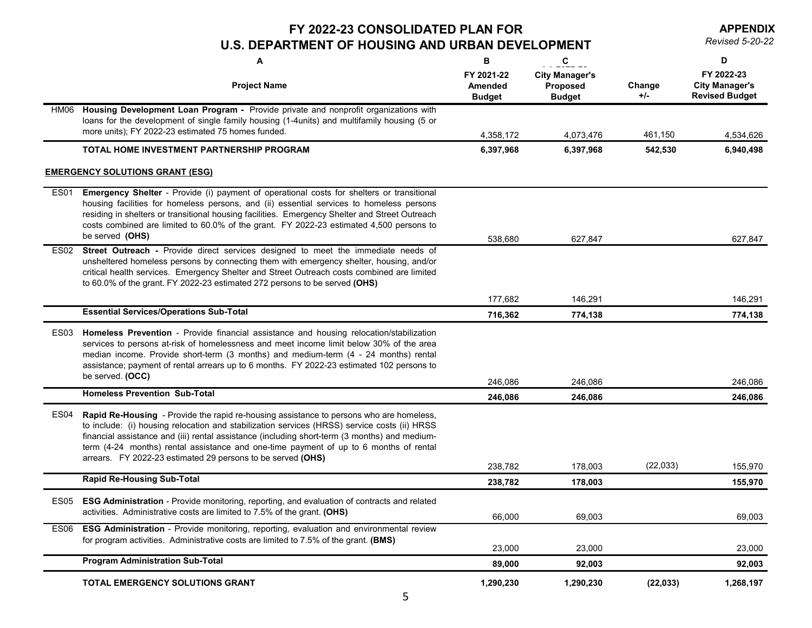**APPENDIX**

|                  | A                                                                                                                                                                                                                                                                                                                                                                                                                                                       | B                                             | $\mathbf{C}$                                              |                 | D                                                            |
|------------------|---------------------------------------------------------------------------------------------------------------------------------------------------------------------------------------------------------------------------------------------------------------------------------------------------------------------------------------------------------------------------------------------------------------------------------------------------------|-----------------------------------------------|-----------------------------------------------------------|-----------------|--------------------------------------------------------------|
|                  | <b>Project Name</b>                                                                                                                                                                                                                                                                                                                                                                                                                                     | FY 2021-22<br><b>Amended</b><br><b>Budget</b> | <b>City Manager's</b><br><b>Proposed</b><br><b>Budget</b> | Change<br>$+/-$ | FY 2022-23<br><b>City Manager's</b><br><b>Revised Budget</b> |
| HM06             | Housing Development Loan Program - Provide private and nonprofit organizations with<br>loans for the development of single family housing (1-4units) and multifamily housing (5 or<br>more units); FY 2022-23 estimated 75 homes funded.                                                                                                                                                                                                                | 4,358,172                                     | 4,073,476                                                 | 461,150         | 4,534,626                                                    |
|                  | TOTAL HOME INVESTMENT PARTNERSHIP PROGRAM                                                                                                                                                                                                                                                                                                                                                                                                               | 6,397,968                                     | 6,397,968                                                 | 542,530         | 6,940,498                                                    |
|                  | <b>EMERGENCY SOLUTIONS GRANT (ESG)</b>                                                                                                                                                                                                                                                                                                                                                                                                                  |                                               |                                                           |                 |                                                              |
| <b>ES01</b>      | <b>Emergency Shelter</b> - Provide (i) payment of operational costs for shelters or transitional<br>housing facilities for homeless persons, and (ii) essential services to homeless persons<br>residing in shelters or transitional housing facilities. Emergency Shelter and Street Outreach<br>costs combined are limited to 60.0% of the grant. FY 2022-23 estimated 4,500 persons to<br>be served (OHS)                                            | 538,680                                       | 627,847                                                   |                 | 627,847                                                      |
|                  | ES02 Street Outreach - Provide direct services designed to meet the immediate needs of<br>unsheltered homeless persons by connecting them with emergency shelter, housing, and/or<br>critical health services. Emergency Shelter and Street Outreach costs combined are limited<br>to 60.0% of the grant. FY 2022-23 estimated 272 persons to be served (OHS)                                                                                           |                                               |                                                           |                 |                                                              |
|                  |                                                                                                                                                                                                                                                                                                                                                                                                                                                         | 177,682                                       | 146,291                                                   |                 | 146,291                                                      |
|                  | <b>Essential Services/Operations Sub-Total</b>                                                                                                                                                                                                                                                                                                                                                                                                          | 716,362                                       | 774,138                                                   |                 | 774,138                                                      |
| ES <sub>03</sub> | Homeless Prevention - Provide financial assistance and housing relocation/stabilization<br>services to persons at-risk of homelessness and meet income limit below 30% of the area<br>median income. Provide short-term (3 months) and medium-term (4 - 24 months) rental<br>assistance; payment of rental arrears up to 6 months. FY 2022-23 estimated 102 persons to<br>be served. (OCC)                                                              | 246,086                                       | 246,086                                                   |                 | 246,086                                                      |
|                  | <b>Homeless Prevention Sub-Total</b>                                                                                                                                                                                                                                                                                                                                                                                                                    | 246,086                                       | 246,086                                                   |                 | 246,086                                                      |
| ES <sub>04</sub> | <b>Rapid Re-Housing</b> - Provide the rapid re-housing assistance to persons who are homeless,<br>to include: (i) housing relocation and stabilization services (HRSS) service costs (ii) HRSS<br>financial assistance and (iii) rental assistance (including short-term (3 months) and medium-<br>term (4-24 months) rental assistance and one-time payment of up to 6 months of rental<br>arrears. FY 2022-23 estimated 29 persons to be served (OHS) | 238,782                                       | 178,003                                                   | (22, 033)       | 155,970                                                      |
|                  | <b>Rapid Re-Housing Sub-Total</b>                                                                                                                                                                                                                                                                                                                                                                                                                       | 238,782                                       | 178,003                                                   |                 | 155,970                                                      |
| ES <sub>05</sub> | <b>ESG Administration</b> - Provide monitoring, reporting, and evaluation of contracts and related<br>activities. Administrative costs are limited to 7.5% of the grant. (OHS)                                                                                                                                                                                                                                                                          |                                               |                                                           |                 |                                                              |
| ES <sub>06</sub> | <b>ESG Administration</b> - Provide monitoring, reporting, evaluation and environmental review                                                                                                                                                                                                                                                                                                                                                          | 66,000                                        | 69,003                                                    |                 | 69,003                                                       |
|                  | for program activities. Administrative costs are limited to 7.5% of the grant. (BMS)                                                                                                                                                                                                                                                                                                                                                                    | 23,000                                        | 23,000                                                    |                 | 23,000                                                       |
|                  | <b>Program Administration Sub-Total</b>                                                                                                                                                                                                                                                                                                                                                                                                                 | 89,000                                        | 92,003                                                    |                 | 92,003                                                       |
|                  | TOTAL EMERGENCY SOLUTIONS GRANT                                                                                                                                                                                                                                                                                                                                                                                                                         | 1,290,230                                     | 1,290,230                                                 | (22, 033)       | 1,268,197                                                    |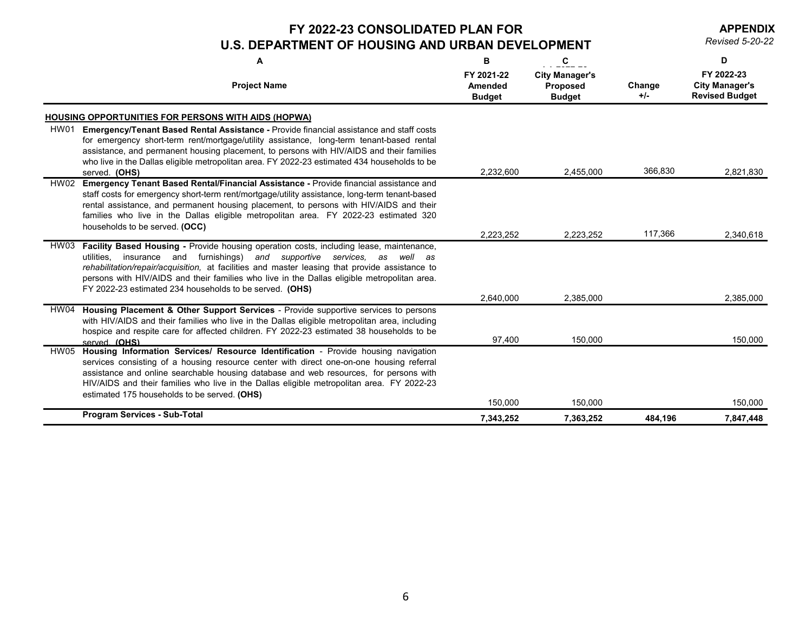**APPENDIX**

|             | A                                                                                                                                                                                                                                                                                                                                                                                                                                      | B                                             | $\mathbf{C}$                                              |                 | D                                                            |
|-------------|----------------------------------------------------------------------------------------------------------------------------------------------------------------------------------------------------------------------------------------------------------------------------------------------------------------------------------------------------------------------------------------------------------------------------------------|-----------------------------------------------|-----------------------------------------------------------|-----------------|--------------------------------------------------------------|
|             | <b>Project Name</b>                                                                                                                                                                                                                                                                                                                                                                                                                    | FY 2021-22<br><b>Amended</b><br><b>Budget</b> | <b>City Manager's</b><br><b>Proposed</b><br><b>Budget</b> | Change<br>$+/-$ | FY 2022-23<br><b>City Manager's</b><br><b>Revised Budget</b> |
|             | <b>HOUSING OPPORTUNITIES FOR PERSONS WITH AIDS (HOPWA)</b>                                                                                                                                                                                                                                                                                                                                                                             |                                               |                                                           |                 |                                                              |
| HW01        | <b>Emergency/Tenant Based Rental Assistance - Provide financial assistance and staff costs</b><br>for emergency short-term rent/mortgage/utility assistance, long-term tenant-based rental<br>assistance, and permanent housing placement, to persons with HIV/AIDS and their families<br>who live in the Dallas eligible metropolitan area. FY 2022-23 estimated 434 households to be                                                 |                                               |                                                           |                 |                                                              |
|             | served. (OHS)                                                                                                                                                                                                                                                                                                                                                                                                                          | 2,232,600                                     | 2,455,000                                                 | 366,830         | 2,821,830                                                    |
|             | HW02 Emergency Tenant Based Rental/Financial Assistance - Provide financial assistance and<br>staff costs for emergency short-term rent/mortgage/utility assistance, long-term tenant-based<br>rental assistance, and permanent housing placement, to persons with HIV/AIDS and their<br>families who live in the Dallas eligible metropolitan area. FY 2022-23 estimated 320<br>households to be served. (OCC)                        |                                               |                                                           |                 |                                                              |
|             |                                                                                                                                                                                                                                                                                                                                                                                                                                        | 2,223,252                                     | 2,223,252                                                 | 117,366         | 2,340,618                                                    |
| HW03        | Facility Based Housing - Provide housing operation costs, including lease, maintenance,<br>utilities, insurance and furnishings)<br>and supportive services, as<br>well as<br>rehabilitation/repair/acquisition, at facilities and master leasing that provide assistance to<br>persons with HIV/AIDS and their families who live in the Dallas eligible metropolitan area.<br>FY 2022-23 estimated 234 households to be served. (OHS) |                                               |                                                           |                 |                                                              |
|             |                                                                                                                                                                                                                                                                                                                                                                                                                                        | 2,640,000                                     | 2,385,000                                                 |                 | 2,385,000                                                    |
|             | HW04 Housing Placement & Other Support Services - Provide supportive services to persons<br>with HIV/AIDS and their families who live in the Dallas eligible metropolitan area, including<br>hospice and respite care for affected children. FY 2022-23 estimated 38 households to be<br>served (OHS)                                                                                                                                  | 97,400                                        | 150,000                                                   |                 | 150,000                                                      |
| <b>HW05</b> | Housing Information Services/ Resource Identification - Provide housing navigation<br>services consisting of a housing resource center with direct one-on-one housing referral<br>assistance and online searchable housing database and web resources, for persons with<br>HIV/AIDS and their families who live in the Dallas eligible metropolitan area. FY 2022-23<br>estimated 175 households to be served. (OHS)                   | 150,000                                       | 150,000                                                   |                 | 150,000                                                      |
|             | <b>Program Services - Sub-Total</b>                                                                                                                                                                                                                                                                                                                                                                                                    | 7,343,252                                     | 7,363,252                                                 | 484,196         | 7,847,448                                                    |
|             |                                                                                                                                                                                                                                                                                                                                                                                                                                        |                                               |                                                           |                 |                                                              |